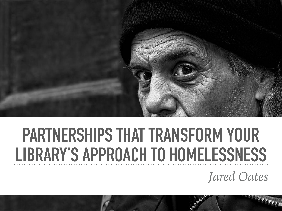

# **PARTNERSHIPS THAT TRANSFORM YOUR LIBRARY'S APPROACH TO HOMELESSNESS**

*Jared Oates*

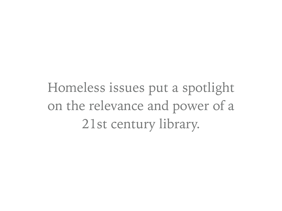Homeless issues put a spotlight on the relevance and power of a 21st century library.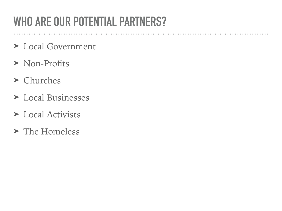### **WHO ARE OUR POTENTIAL PARTNERS?**

. . . . . . . . .

. . . . . . . . . . . . .

- ➤ Local Government
- ➤ Non-Profits
- ➤ Churches
- ➤ Local Businesses
- ➤ Local Activists
- ➤ The Homeless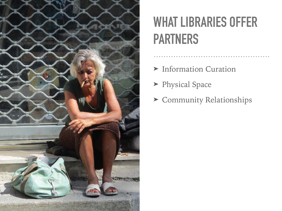

## **WHAT LIBRARIES OFFER PARTNERS**

- ➤ Information Curation
- ➤ Physical Space
- ➤ Community Relationships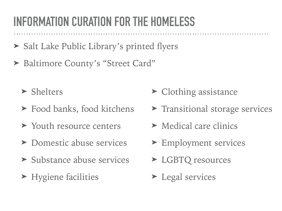### **INFORMATION CURATION FOR THE HOMELESS**

- ➤ Salt Lake Public Library's printed flyers
- ► Baltimore County's "Street Card"
	- ➤ Shelters
	- ➤ Food banks, food kitchens
	- ➤ Youth resource centers
	- ➤ Domestic abuse services
	- ➤ Substance abuse services
	- ➤ Hygiene facilities
- ➤ Clothing assistance
- ➤ Transitional storage services
- ➤ Medical care clinics
- ➤ Employment services
- ➤ LGBTQ resources
- ➤ Legal services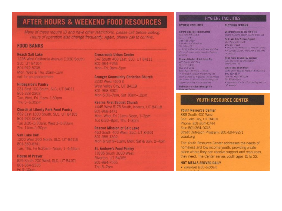### AFTER HOURS & WEEKEND FOOD RESOURCES

Many of these require (D) and have other restrictions, please call before visiting. Hours of operation also change frequently. Again, please call to confirm.

#### **FOOD BANKS**

**Reach Salt Lake** 1235 West California Avenue (1330 South) **SLC. UT 84104** 801-972-5708 Mon, Wed & Thu 10am-1pm call for an appointment

**Hildegarde's Pantry** 231 East 100 South, SLC, UT 84111 801-328-2303 Tue, Wed, Fri 11am-1:30pm Thu 5-6:30pm

**Church at Liberty Park Food Pantry** 662 East 1300 South, SLC, UT 84105 801-973-0088 Tue 3:30-5:30pm, Wed 3-5:30pm Thu 11am-1:30pm

**Sait Lake CAP** 1300 West 300 North, SLC, UT 84116 801-359-8741 Tue, Thu, Fri 8:30am-Noon, 1-4:45pm

**House of Prayer** 829 South 200 West, SLC, UT 84101 801-364-2335

**Crossroads Urban Center** 347 South 400 East, SLC, UT 84111 801-364-7765 Mon-Fri, 9am-5pm

**Granger Community Christian Church** 3232 West 4100 S West Valley City, UT 84119 801-968-3301 Mon 5:30-7pm, Sat 10am-12pm

**Kearns First Baptist Church** 4445 West 5175 South, Kearns, UT 84118 801-968-1471 Mon, Wed, Fri 11am-Noon, 1-3pm Tue 6:30-8pm, Thu 1-3pm.

**Rescue Mission of Salt Lake** 463 South 400 West, SLC, UT 84101 801-355-1302 Mori & Sat 9-Illam; Mon, Sat & Sun, 2-4pm

St. Andrew's Food Pantry 11835 South 3600 West Riverton, UT 84065 801-984-7555 Thu 5-7pm

#### **HYGIENE FACILITIES**

#### **HYGIENE FACILITIES**

**CLOTHING OPTIONS** Deseret Industries Thrift Stores

**Central City Recreation Conter** Slave WE kave bld  $SCU = 1$ 385-468-1550 Mon-Fr 6:30am-Sour S. Dani 3pm · S350 entities palmo in Moess and other We exclude the changes as well as hyphones. **Incilling** Rescue Mission of Salt Lake City 463 South ACC West

SLC UT 54101 801-355-1302 Mor. West Hi-9-30, Helfons · After aged 18 years or didn't hay we dona facilities for bygiene as well as process. the clames not be work for continue and hygiene products may be admired."

Haircuts are strictly through the Weigand Center

Salt Lake City Welfare Square **750 West 200 Stuff** 901-240-7332 • Мои тарой управил полтой и в Стил. run Cenices Canter 3 more than a few hema-

strengt tocations, search Occude or call 211

Road Home Emergency Services 235 South Rio Grande Street 385-234-5782

an received.

Cressroads Thrift Store 1385 West Incia ta Avenue (860 South)

801-250-8827 The FH Kun 6-30 in Sat 10am-Eart · space with 1004 for a find distributional of an *VC JEUNING* 

#### YOUTH RESOURCE CENTER

**Youth Resource Center** 888 South 400 West Salt Lake City, UT 84101 Phone: 801-364-0744 Fax: 801-364-0745 Street Outreach Program: 801-694-9271 voaut.org

The Youth Resource Center addresses the needs of homeless and low income youth, providing a safe place where they can receive support and resources they need. The Center serves youth ages 15 to 22.

HOT MEALS SERVED DAILY · Breakfast 8:30-9:30am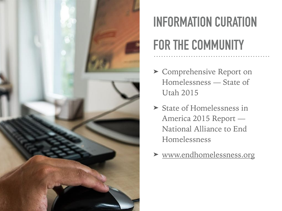

## **INFORMATION CURATION FOR THE COMMUNITY**

- ➤ Comprehensive Report on Homelessness — State of Utah 2015
- ➤ State of Homelessness in America 2015 Report — National Alliance to End Homelessness
- ➤ [www.endhomelessness.org](http://www.endhomelessness.org)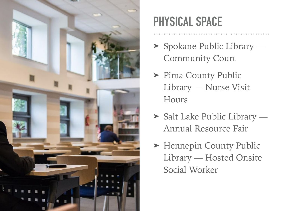

### **PHYSICAL SPACE**

- ➤ Spokane Public Library Community Court
- ▶ Pima County Public Library — Nurse Visit Hours
- ➤ Salt Lake Public Library Annual Resource Fair
- ► Hennepin County Public Library — Hosted Onsite Social Worker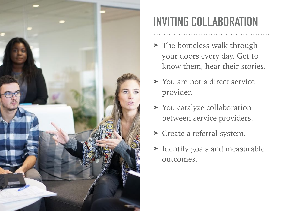

### **INVITING COLLABORATION**

- ➤ The homeless walk through your doors every day. Get to know them, hear their stories.
- ➤ You are not a direct service provider.
- ➤ You catalyze collaboration between service providers.
- ➤ Create a referral system.
- ➤ Identify goals and measurable outcomes.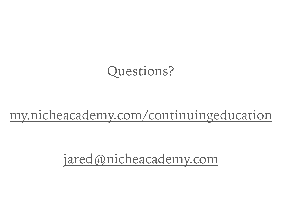### Questions?

### [my.nicheacademy.com/continuingeducation](http://my.nicheacademy.com/continuingeducation)

[jared@nicheacademy.com](mailto:jared@nicheacademy.com)